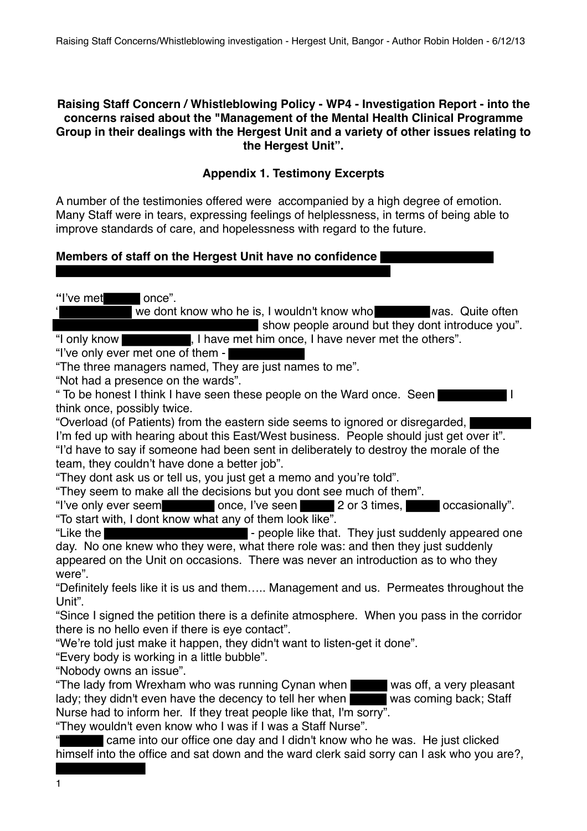## **Raising Staff Concern / Whistleblowing Policy - WP4 - Investigation Report - into the concerns raised about the "Management of the Mental Health Clinical Programme Group in their dealings with the Hergest Unit and a variety of other issues relating to the Hergest Unit".**

# **Appendix 1. Testimony Excerpts**

A number of the testimonies offered were accompanied by a high degree of emotion. Many Staff were in tears, expressing feelings of helplessness, in terms of being able to improve standards of care, and hopelessness with regard to the future.

# **Members of staff on the Hergest Unit have no confidence**

**"**I've met once".

we dont know who he is, I wouldn't know who was. Quite often show people around but they dont introduce you". "I only know , I have met him once, I have never met the others".

"I've only ever met one of them -

"The three managers named, They are just names to me".

"Not had a presence on the wards".

" To be honest I think I have seen these people on the Ward once. Seen I think once, possibly twice.

"Overload (of Patients) from the eastern side seems to ignored or disregarded, I'm fed up with hearing about this East/West business. People should just get over it". "I'd have to say if someone had been sent in deliberately to destroy the morale of the team, they couldn't have done a better job".

"They dont ask us or tell us, you just get a memo and you're told".

"They seem to make all the decisions but you dont see much of them".

"I've only ever seem once, I've seen 2 or 3 times, occasionally". "To start with, I dont know what any of them look like".

"Like the **Figure 1** - people like that. They just suddenly appeared one day. No one knew who they were, what there role was: and then they just suddenly appeared on the Unit on occasions. There was never an introduction as to who they were".

"Definitely feels like it is us and them….. Management and us. Permeates throughout the Unit".

"Since I signed the petition there is a definite atmosphere. When you pass in the corridor there is no hello even if there is eye contact".

"We're told just make it happen, they didn't want to listen-get it done".

"Every body is working in a little bubble".

"Nobody owns an issue".

"The lady from Wrexham who was running Cynan when was off, a very pleasant lady; they didn't even have the decency to tell her when was coming back; Staff Nurse had to inform her. If they treat people like that, I'm sorry".

"They wouldn't even know who I was if I was a Staff Nurse".

" came into our office one day and I didn't know who he was. He just clicked himself into the office and sat down and the ward clerk said sorry can I ask who you are?,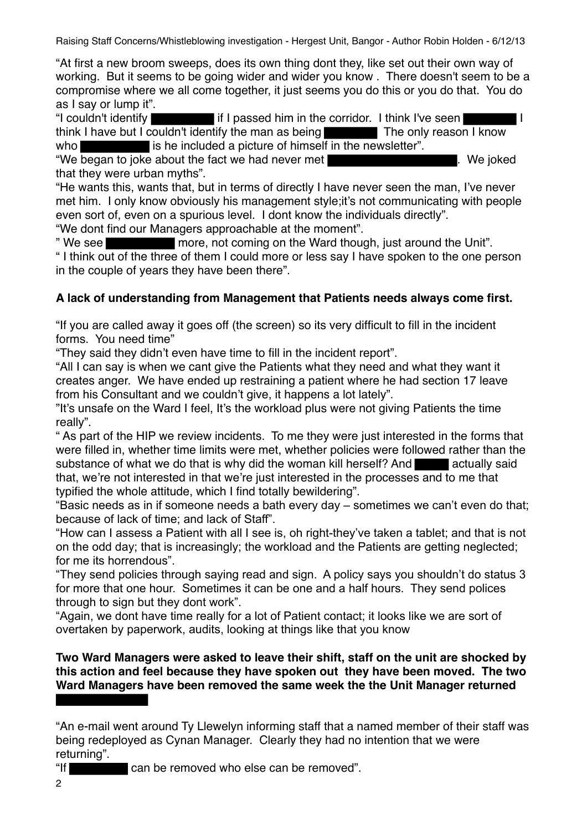"At first a new broom sweeps, does its own thing dont they, like set out their own way of working. But it seems to be going wider and wider you know . There doesn't seem to be a compromise where we all come together, it just seems you do this or you do that. You do as I say or lump it".

"I couldn't identify if I passed him in the corridor. I think I've seen I think I have but I couldn't identify the man as being The only reason I know

who is he included a picture of himself in the newsletter".

"We began to joke about the fact we had never met **We had allow the set of the set of the set of the set of the set of the set of the set of the set of the set of the set of the set of the set of the set of the set of the** that they were urban myths".

"He wants this, wants that, but in terms of directly I have never seen the man, I've never met him. I only know obviously his management style;it's not communicating with people even sort of, even on a spurious level. I dont know the individuals directly".

"We dont find our Managers approachable at the moment".

" We see **notice in the Ward though, just around the Unit".** " I think out of the three of them I could more or less say I have spoken to the one person in the couple of years they have been there".

# **A lack of understanding from Management that Patients needs always come first.**

"If you are called away it goes off (the screen) so its very difficult to fill in the incident forms. You need time"

"They said they didn't even have time to fill in the incident report".

"All I can say is when we cant give the Patients what they need and what they want it creates anger. We have ended up restraining a patient where he had section 17 leave from his Consultant and we couldn't give, it happens a lot lately".

"It's unsafe on the Ward I feel, It's the workload plus were not giving Patients the time really".

" As part of the HIP we review incidents. To me they were just interested in the forms that were filled in, whether time limits were met, whether policies were followed rather than the substance of what we do that is why did the woman kill herself? And actually said that, we're not interested in that we're just interested in the processes and to me that typified the whole attitude, which I find totally bewildering".

"Basic needs as in if someone needs a bath every day – sometimes we can't even do that; because of lack of time; and lack of Staff".

"How can I assess a Patient with all I see is, oh right-they've taken a tablet; and that is not on the odd day; that is increasingly; the workload and the Patients are getting neglected; for me its horrendous".

"They send policies through saying read and sign. A policy says you shouldn't do status 3 for more that one hour. Sometimes it can be one and a half hours. They send polices through to sign but they dont work".

"Again, we dont have time really for a lot of Patient contact; it looks like we are sort of overtaken by paperwork, audits, looking at things like that you know

**Two Ward Managers were asked to leave their shift, staff on the unit are shocked by this action and feel because they have spoken out they have been moved. The two Ward Managers have been removed the same week the the Unit Manager returned** 

<sup>&</sup>quot;An e-mail went around Ty Llewelyn informing staff that a named member of their staff was being redeployed as Cynan Manager. Clearly they had no intention that we were returning".

<sup>&</sup>quot;If can be removed who else can be removed".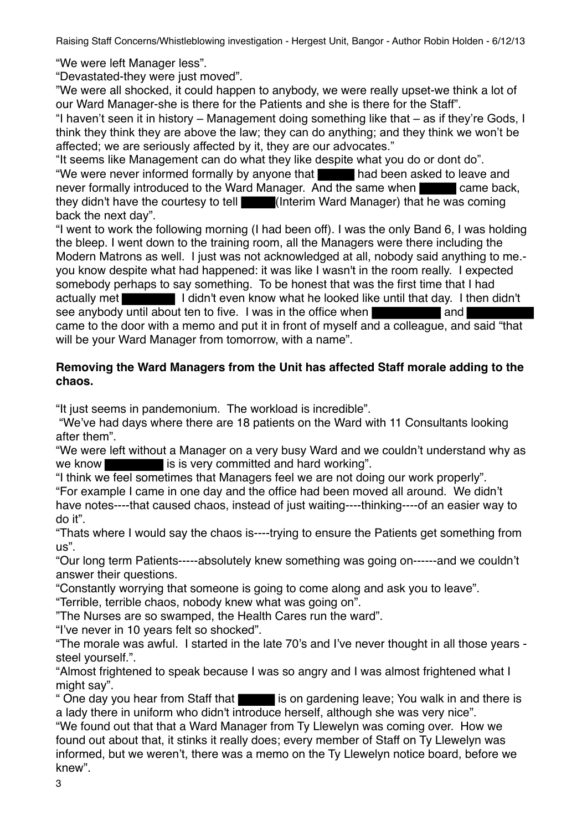"We were left Manager less".

"Devastated-they were just moved".

"We were all shocked, it could happen to anybody, we were really upset-we think a lot of our Ward Manager-she is there for the Patients and she is there for the Staff".

"I haven't seen it in history – Management doing something like that – as if they're Gods, I think they think they are above the law; they can do anything; and they think we won't be affected; we are seriously affected by it, they are our advocates."

"It seems like Management can do what they like despite what you do or dont do".

"We were never informed formally by anyone that had been asked to leave and never formally introduced to the Ward Manager. And the same when came back, they didn't have the courtesy to tell (Interim Ward Manager) that he was coming back the next day".

"I went to work the following morning (I had been off). I was the only Band 6, I was holding the bleep. I went down to the training room, all the Managers were there including the Modern Matrons as well. I just was not acknowledged at all, nobody said anything to me. you know despite what had happened: it was like I wasn't in the room really. I expected somebody perhaps to say something. To be honest that was the first time that I had actually met I didn't even know what he looked like until that day. I then didn't see anybody until about ten to five. I was in the office when **and** and came to the door with a memo and put it in front of myself and a colleague, and said "that will be your Ward Manager from tomorrow, with a name".

# **Removing the Ward Managers from the Unit has affected Staff morale adding to the chaos.**

"It just seems in pandemonium. The workload is incredible".

 "We've had days where there are 18 patients on the Ward with 11 Consultants looking after them".

"We were left without a Manager on a very busy Ward and we couldn't understand why as we know is is very committed and hard working".

"I think we feel sometimes that Managers feel we are not doing our work properly".

"For example I came in one day and the office had been moved all around. We didn't have notes----that caused chaos, instead of just waiting----thinking----of an easier way to do it".

"Thats where I would say the chaos is----trying to ensure the Patients get something from us".

"Our long term Patients-----absolutely knew something was going on------and we couldn't answer their questions.

"Constantly worrying that someone is going to come along and ask you to leave".

"Terrible, terrible chaos, nobody knew what was going on".

"The Nurses are so swamped, the Health Cares run the ward".

"I've never in 10 years felt so shocked".

"The morale was awful. I started in the late 70's and I've never thought in all those years steel yourself.".

"Almost frightened to speak because I was so angry and I was almost frightened what I might say".

" One day you hear from Staff that is on gardening leave; You walk in and there is a lady there in uniform who didn't introduce herself, although she was very nice".

"We found out that that a Ward Manager from Ty Llewelyn was coming over. How we found out about that, it stinks it really does; every member of Staff on Ty Llewelyn was informed, but we weren't, there was a memo on the Ty Llewelyn notice board, before we knew".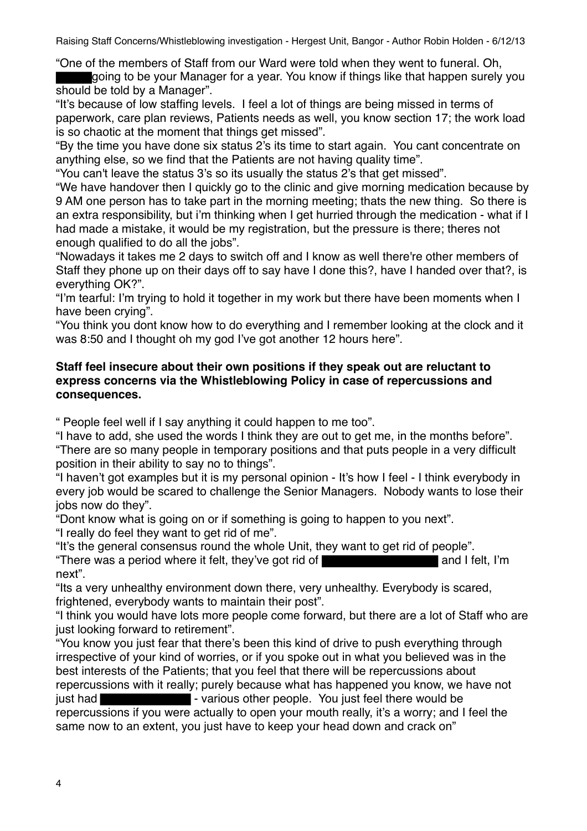"One of the members of Staff from our Ward were told when they went to funeral. Oh,

going to be your Manager for a year. You know if things like that happen surely you should be told by a Manager".

"It's because of low staffing levels. I feel a lot of things are being missed in terms of paperwork, care plan reviews, Patients needs as well, you know section 17; the work load is so chaotic at the moment that things get missed".

"By the time you have done six status 2's its time to start again. You cant concentrate on anything else, so we find that the Patients are not having quality time".

"You can't leave the status 3's so its usually the status 2's that get missed".

"We have handover then I quickly go to the clinic and give morning medication because by 9 AM one person has to take part in the morning meeting; thats the new thing. So there is an extra responsibility, but i'm thinking when I get hurried through the medication - what if I had made a mistake, it would be my registration, but the pressure is there; theres not enough qualified to do all the jobs".

"Nowadays it takes me 2 days to switch off and I know as well there're other members of Staff they phone up on their days off to say have I done this?, have I handed over that?, is everything OK?".

"I'm tearful: I'm trying to hold it together in my work but there have been moments when I have been crying".

"You think you dont know how to do everything and I remember looking at the clock and it was 8:50 and I thought oh my god I've got another 12 hours here".

## **Staff feel insecure about their own positions if they speak out are reluctant to express concerns via the Whistleblowing Policy in case of repercussions and consequences.**

" People feel well if I say anything it could happen to me too".

"I have to add, she used the words I think they are out to get me, in the months before". "There are so many people in temporary positions and that puts people in a very difficult position in their ability to say no to things".

"I haven't got examples but it is my personal opinion - It's how I feel - I think everybody in every job would be scared to challenge the Senior Managers. Nobody wants to lose their jobs now do they".

"Dont know what is going on or if something is going to happen to you next".

"I really do feel they want to get rid of me".

"It's the general consensus round the whole Unit, they want to get rid of people".

"There was a period where it felt, they've got rid of **All and I felt**, I'm and I felt, I'm next".

"Its a very unhealthy environment down there, very unhealthy. Everybody is scared, frightened, everybody wants to maintain their post".

"I think you would have lots more people come forward, but there are a lot of Staff who are just looking forward to retirement".

"You know you just fear that there's been this kind of drive to push everything through irrespective of your kind of worries, or if you spoke out in what you believed was in the best interests of the Patients; that you feel that there will be repercussions about repercussions with it really; purely because what has happened you know, we have not just had **Figure 2018** - various other people. You just feel there would be repercussions if you were actually to open your mouth really, it's a worry; and I feel the same now to an extent, you just have to keep your head down and crack on"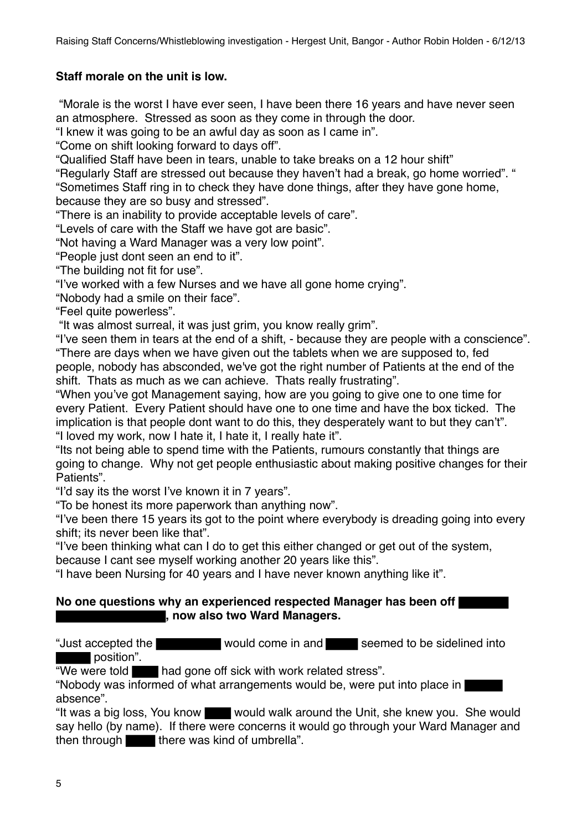# **Staff morale on the unit is low.**

"Morale is the worst I have ever seen, I have been there 16 years and have never seen an atmosphere. Stressed as soon as they come in through the door.

"I knew it was going to be an awful day as soon as I came in".

"Come on shift looking forward to days off".

"Qualified Staff have been in tears, unable to take breaks on a 12 hour shift"

"Regularly Staff are stressed out because they haven't had a break, go home worried". "

"Sometimes Staff ring in to check they have done things, after they have gone home,

because they are so busy and stressed".

"There is an inability to provide acceptable levels of care".

"Levels of care with the Staff we have got are basic".

"Not having a Ward Manager was a very low point".

"People just dont seen an end to it".

"The building not fit for use".

"I've worked with a few Nurses and we have all gone home crying".

"Nobody had a smile on their face".

"Feel quite powerless".

"It was almost surreal, it was just grim, you know really grim".

"I've seen them in tears at the end of a shift, - because they are people with a conscience". "There are days when we have given out the tablets when we are supposed to, fed people, nobody has absconded, we've got the right number of Patients at the end of the shift. Thats as much as we can achieve. Thats really frustrating".

"When you've got Management saying, how are you going to give one to one time for every Patient. Every Patient should have one to one time and have the box ticked. The implication is that people dont want to do this, they desperately want to but they can't". "I loved my work, now I hate it, I hate it, I really hate it".

"Its not being able to spend time with the Patients, rumours constantly that things are going to change. Why not get people enthusiastic about making positive changes for their Patients".

"I'd say its the worst I've known it in 7 years".

"To be honest its more paperwork than anything now".

"I've been there 15 years its got to the point where everybody is dreading going into every shift; its never been like that".

"I've been thinking what can I do to get this either changed or get out of the system, because I cant see myself working another 20 years like this".

"I have been Nursing for 40 years and I have never known anything like it".

### **No one questions why an experienced respected Manager has been off , now also two Ward Managers.**

"Just accepted the would come in and seemed to be sidelined into position".

"We were told had gone off sick with work related stress".

"Nobody was informed of what arrangements would be, were put into place in absence".

"It was a big loss, You know would walk around the Unit, she knew you. She would say hello (by name). If there were concerns it would go through your Ward Manager and then through  $\blacksquare$  there was kind of umbrella".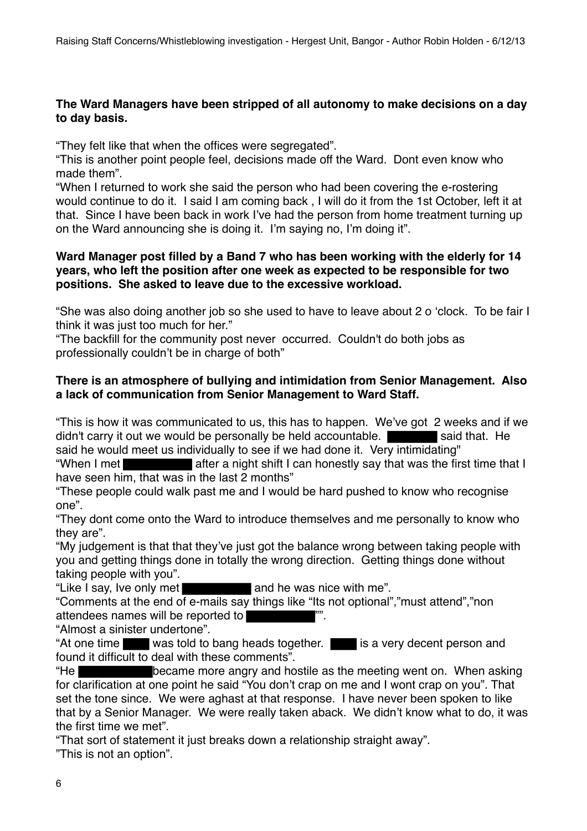### **The Ward Managers have been stripped of all autonomy to make decisions on a day to day basis.**

"They felt like that when the offices were segregated".

"This is another point people feel, decisions made off the Ward. Dont even know who made them".

"When I returned to work she said the person who had been covering the e-rostering would continue to do it. I said I am coming back , I will do it from the 1st October, left it at that. Since I have been back in work I've had the person from home treatment turning up on the Ward announcing she is doing it. I'm saying no, I'm doing it".

### **Ward Manager post filled by a Band 7 who has been working with the elderly for 14 years, who left the position after one week as expected to be responsible for two positions. She asked to leave due to the excessive workload.**

"She was also doing another job so she used to have to leave about 2 o 'clock. To be fair I think it was just too much for her."

"The backfill for the community post never occurred. Couldn't do both jobs as professionally couldn't be in charge of both"

## **There is an atmosphere of bullying and intimidation from Senior Management. Also a lack of communication from Senior Management to Ward Staff.**

"This is how it was communicated to us, this has to happen. We've got 2 weeks and if we didn't carry it out we would be personally be held accountable.  $\blacksquare$  said that. He said he would meet us individually to see if we had done it. Very intimidating"

"When I met have seen him, that was in the last 2 months"

"These people could walk past me and I would be hard pushed to know who recognise one".

"They dont come onto the Ward to introduce themselves and me personally to know who they are".

"My judgement is that that they've just got the balance wrong between taking people with you and getting things done in totally the wrong direction. Getting things done without taking people with you".

"Like I say, Ive only met and he was nice with me".

"Comments at the end of e-mails say things like "Its not optional","must attend","non attendees names will be reported to

"Almost a sinister undertone".

"At one time was told to bang heads together. is a very decent person and found it difficult to deal with these comments".

"He became more angry and hostile as the meeting went on. When asking for clarification at one point he said "You don't crap on me and I wont crap on you". That set the tone since. We were aghast at that response. I have never been spoken to like that by a Senior Manager. We were really taken aback. We didn't know what to do, it was the first time we met".

"That sort of statement it just breaks down a relationship straight away". "This is not an option".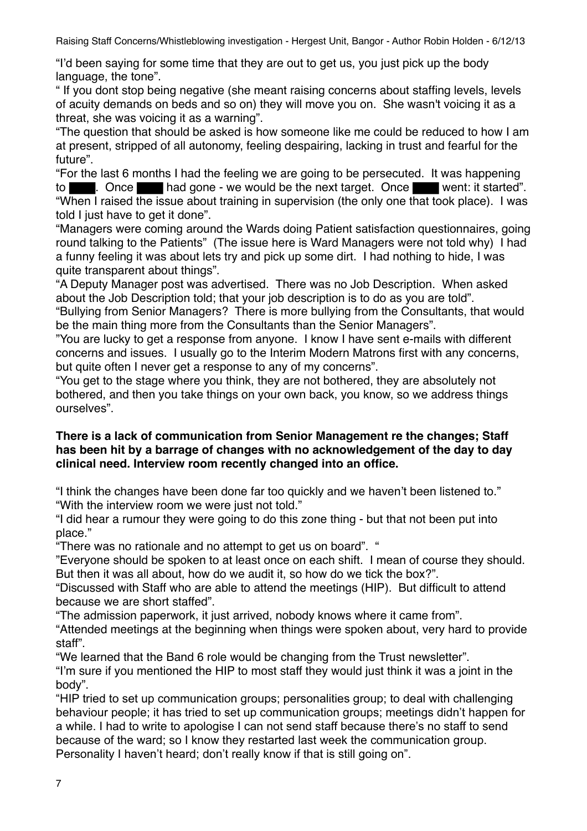"I'd been saying for some time that they are out to get us, you just pick up the body language, the tone".

" If you dont stop being negative (she meant raising concerns about staffing levels, levels of acuity demands on beds and so on) they will move you on. She wasn't voicing it as a threat, she was voicing it as a warning".

"The question that should be asked is how someone like me could be reduced to how I am at present, stripped of all autonomy, feeling despairing, lacking in trust and fearful for the future".

"For the last 6 months I had the feeling we are going to be persecuted. It was happening to . Once had gone - we would be the next target. Once went: it started". "When I raised the issue about training in supervision (the only one that took place). I was told I just have to get it done".

"Managers were coming around the Wards doing Patient satisfaction questionnaires, going round talking to the Patients" (The issue here is Ward Managers were not told why) I had a funny feeling it was about lets try and pick up some dirt. I had nothing to hide, I was quite transparent about things".

"A Deputy Manager post was advertised. There was no Job Description. When asked about the Job Description told; that your job description is to do as you are told".

"Bullying from Senior Managers? There is more bullying from the Consultants, that would be the main thing more from the Consultants than the Senior Managers".

"You are lucky to get a response from anyone. I know I have sent e-mails with different concerns and issues. I usually go to the Interim Modern Matrons first with any concerns, but quite often I never get a response to any of my concerns".

"You get to the stage where you think, they are not bothered, they are absolutely not bothered, and then you take things on your own back, you know, so we address things ourselves".

### **There is a lack of communication from Senior Management re the changes; Staff has been hit by a barrage of changes with no acknowledgement of the day to day clinical need. Interview room recently changed into an office.**

"I think the changes have been done far too quickly and we haven't been listened to." "With the interview room we were just not told."

"I did hear a rumour they were going to do this zone thing - but that not been put into place."

"There was no rationale and no attempt to get us on board". "

"Everyone should be spoken to at least once on each shift. I mean of course they should. But then it was all about, how do we audit it, so how do we tick the box?".

"Discussed with Staff who are able to attend the meetings (HIP). But difficult to attend because we are short staffed".

"The admission paperwork, it just arrived, nobody knows where it came from".

"Attended meetings at the beginning when things were spoken about, very hard to provide staff".

"We learned that the Band 6 role would be changing from the Trust newsletter".

"I'm sure if you mentioned the HIP to most staff they would just think it was a joint in the body".

"HIP tried to set up communication groups; personalities group; to deal with challenging behaviour people; it has tried to set up communication groups; meetings didn't happen for a while. I had to write to apologise I can not send staff because there's no staff to send because of the ward; so I know they restarted last week the communication group. Personality I haven't heard; don't really know if that is still going on".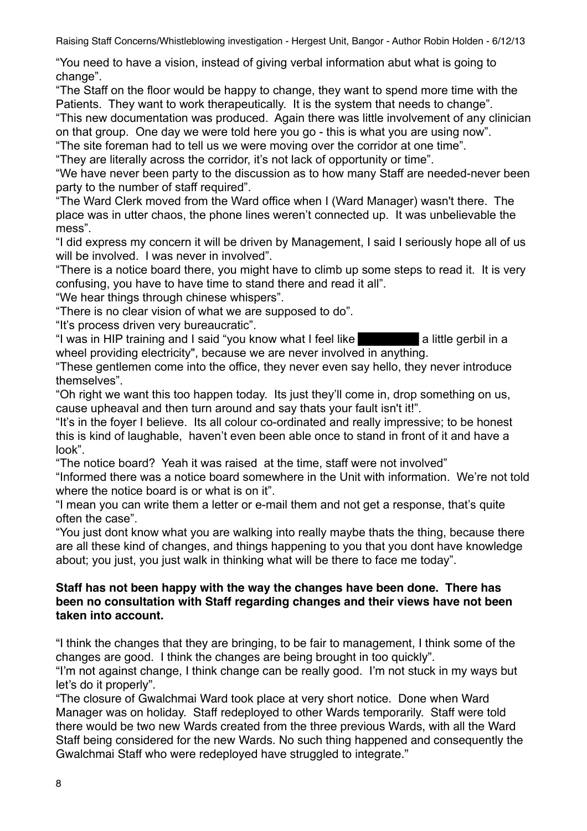"You need to have a vision, instead of giving verbal information abut what is going to change".

"The Staff on the floor would be happy to change, they want to spend more time with the Patients. They want to work therapeutically. It is the system that needs to change".

"This new documentation was produced. Again there was little involvement of any clinician on that group. One day we were told here you go - this is what you are using now".

"The site foreman had to tell us we were moving over the corridor at one time".

"They are literally across the corridor, it's not lack of opportunity or time".

"We have never been party to the discussion as to how many Staff are needed-never been party to the number of staff required".

"The Ward Clerk moved from the Ward office when I (Ward Manager) wasn't there. The place was in utter chaos, the phone lines weren't connected up. It was unbelievable the mess".

"I did express my concern it will be driven by Management, I said I seriously hope all of us will be involved. I was never in involved".

"There is a notice board there, you might have to climb up some steps to read it. It is very confusing, you have to have time to stand there and read it all".

"We hear things through chinese whispers".

"There is no clear vision of what we are supposed to do".

"It's process driven very bureaucratic".

"I was in HIP training and I said "you know what I feel like a little gerbil in a wheel providing electricity", because we are never involved in anything.

"These gentlemen come into the office, they never even say hello, they never introduce themselves".

"Oh right we want this too happen today. Its just they'll come in, drop something on us, cause upheaval and then turn around and say thats your fault isn't it!".

"It's in the foyer I believe. Its all colour co-ordinated and really impressive; to be honest this is kind of laughable, haven't even been able once to stand in front of it and have a look".

"The notice board? Yeah it was raised at the time, staff were not involved"

"Informed there was a notice board somewhere in the Unit with information. We're not told where the notice board is or what is on it".

"I mean you can write them a letter or e-mail them and not get a response, that's quite often the case".

"You just dont know what you are walking into really maybe thats the thing, because there are all these kind of changes, and things happening to you that you dont have knowledge about; you just, you just walk in thinking what will be there to face me today".

## **Staff has not been happy with the way the changes have been done. There has been no consultation with Staff regarding changes and their views have not been taken into account.**

"I think the changes that they are bringing, to be fair to management, I think some of the changes are good. I think the changes are being brought in too quickly".

"I'm not against change, I think change can be really good. I'm not stuck in my ways but let's do it properly".

"The closure of Gwalchmai Ward took place at very short notice. Done when Ward Manager was on holiday. Staff redeployed to other Wards temporarily. Staff were told there would be two new Wards created from the three previous Wards, with all the Ward Staff being considered for the new Wards. No such thing happened and consequently the Gwalchmai Staff who were redeployed have struggled to integrate."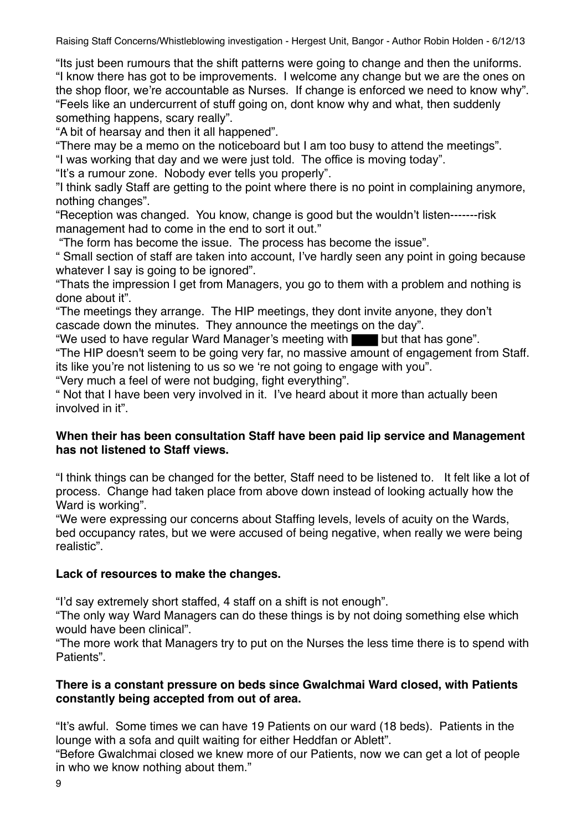"Its just been rumours that the shift patterns were going to change and then the uniforms. "I know there has got to be improvements. I welcome any change but we are the ones on the shop floor, we're accountable as Nurses. If change is enforced we need to know why". "Feels like an undercurrent of stuff going on, dont know why and what, then suddenly something happens, scary really".

"A bit of hearsay and then it all happened".

"There may be a memo on the noticeboard but I am too busy to attend the meetings".

"I was working that day and we were just told. The office is moving today".

"It's a rumour zone. Nobody ever tells you properly".

"I think sadly Staff are getting to the point where there is no point in complaining anymore, nothing changes".

"Reception was changed. You know, change is good but the wouldn't listen-------risk management had to come in the end to sort it out."

"The form has become the issue. The process has become the issue".

" Small section of staff are taken into account, I've hardly seen any point in going because whatever I say is going to be ignored".

"Thats the impression I get from Managers, you go to them with a problem and nothing is done about it".

"The meetings they arrange. The HIP meetings, they dont invite anyone, they don't cascade down the minutes. They announce the meetings on the day".

"We used to have regular Ward Manager's meeting with but that has gone".

"The HIP doesn't seem to be going very far, no massive amount of engagement from Staff. its like you're not listening to us so we 're not going to engage with you".

"Very much a feel of were not budging, fight everything".

" Not that I have been very involved in it. I've heard about it more than actually been involved in it".

### **When their has been consultation Staff have been paid lip service and Management has not listened to Staff views.**

"I think things can be changed for the better, Staff need to be listened to. It felt like a lot of process. Change had taken place from above down instead of looking actually how the Ward is working".

"We were expressing our concerns about Staffing levels, levels of acuity on the Wards, bed occupancy rates, but we were accused of being negative, when really we were being realistic".

# **Lack of resources to make the changes.**

"I'd say extremely short staffed, 4 staff on a shift is not enough".

"The only way Ward Managers can do these things is by not doing something else which would have been clinical".

"The more work that Managers try to put on the Nurses the less time there is to spend with Patients".

## **There is a constant pressure on beds since Gwalchmai Ward closed, with Patients constantly being accepted from out of area.**

"It's awful. Some times we can have 19 Patients on our ward (18 beds). Patients in the lounge with a sofa and quilt waiting for either Heddfan or Ablett".

"Before Gwalchmai closed we knew more of our Patients, now we can get a lot of people in who we know nothing about them."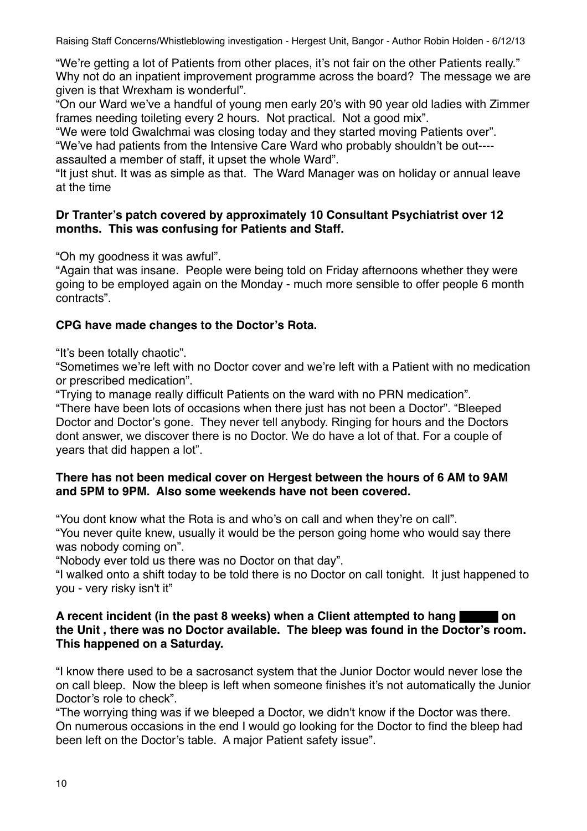"We're getting a lot of Patients from other places, it's not fair on the other Patients really." Why not do an inpatient improvement programme across the board? The message we are given is that Wrexham is wonderful".

"On our Ward we've a handful of young men early 20's with 90 year old ladies with Zimmer frames needing toileting every 2 hours. Not practical. Not a good mix".

"We were told Gwalchmai was closing today and they started moving Patients over".

"We've had patients from the Intensive Care Ward who probably shouldn't be out--- assaulted a member of staff, it upset the whole Ward".

"It just shut. It was as simple as that. The Ward Manager was on holiday or annual leave at the time

## **Dr Tranter's patch covered by approximately 10 Consultant Psychiatrist over 12 months. This was confusing for Patients and Staff.**

"Oh my goodness it was awful".

"Again that was insane. People were being told on Friday afternoons whether they were going to be employed again on the Monday - much more sensible to offer people 6 month contracts".

# **CPG have made changes to the Doctor's Rota.**

"It's been totally chaotic".

"Sometimes we're left with no Doctor cover and we're left with a Patient with no medication or prescribed medication".

"Trying to manage really difficult Patients on the ward with no PRN medication".

"There have been lots of occasions when there just has not been a Doctor". "Bleeped Doctor and Doctor's gone. They never tell anybody. Ringing for hours and the Doctors dont answer, we discover there is no Doctor. We do have a lot of that. For a couple of years that did happen a lot".

# **There has not been medical cover on Hergest between the hours of 6 AM to 9AM and 5PM to 9PM. Also some weekends have not been covered.**

"You dont know what the Rota is and who's on call and when they're on call".

"You never quite knew, usually it would be the person going home who would say there was nobody coming on".

"Nobody ever told us there was no Doctor on that day".

"I walked onto a shift today to be told there is no Doctor on call tonight. It just happened to you - very risky isn't it"

## **A recent incident (in the past 8 weeks) when a Client attempted to hang**  $\blacksquare$  **on the Unit , there was no Doctor available. The bleep was found in the Doctor's room. This happened on a Saturday.**

"I know there used to be a sacrosanct system that the Junior Doctor would never lose the on call bleep. Now the bleep is left when someone finishes it's not automatically the Junior Doctor's role to check".

"The worrying thing was if we bleeped a Doctor, we didn't know if the Doctor was there. On numerous occasions in the end I would go looking for the Doctor to find the bleep had been left on the Doctor's table. A major Patient safety issue".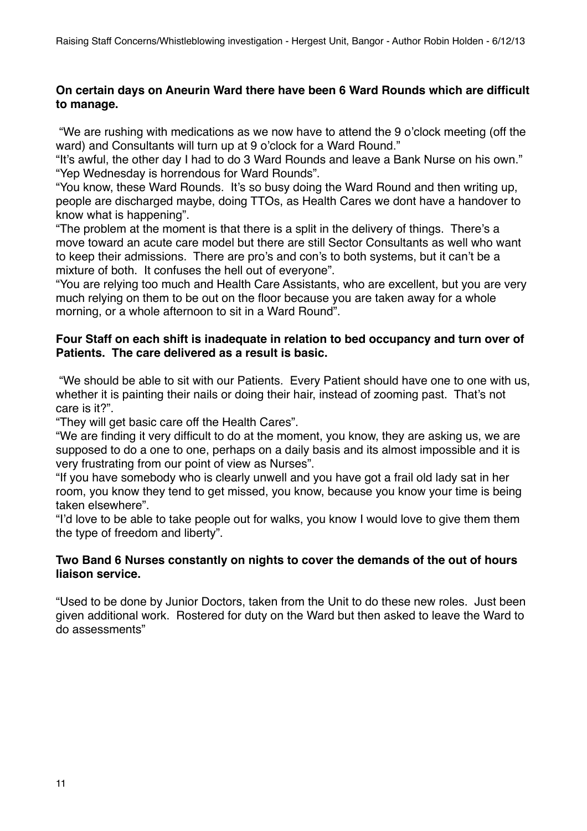## **On certain days on Aneurin Ward there have been 6 Ward Rounds which are difficult to manage.**

 "We are rushing with medications as we now have to attend the 9 o'clock meeting (off the ward) and Consultants will turn up at 9 o'clock for a Ward Round."

"It's awful, the other day I had to do 3 Ward Rounds and leave a Bank Nurse on his own." "Yep Wednesday is horrendous for Ward Rounds".

"You know, these Ward Rounds. It's so busy doing the Ward Round and then writing up, people are discharged maybe, doing TTOs, as Health Cares we dont have a handover to know what is happening".

"The problem at the moment is that there is a split in the delivery of things. There's a move toward an acute care model but there are still Sector Consultants as well who want to keep their admissions. There are pro's and con's to both systems, but it can't be a mixture of both. It confuses the hell out of everyone".

"You are relying too much and Health Care Assistants, who are excellent, but you are very much relying on them to be out on the floor because you are taken away for a whole morning, or a whole afternoon to sit in a Ward Round".

## **Four Staff on each shift is inadequate in relation to bed occupancy and turn over of Patients. The care delivered as a result is basic.**

"We should be able to sit with our Patients. Every Patient should have one to one with us, whether it is painting their nails or doing their hair, instead of zooming past. That's not care is it?".

"They will get basic care off the Health Cares".

"We are finding it very difficult to do at the moment, you know, they are asking us, we are supposed to do a one to one, perhaps on a daily basis and its almost impossible and it is very frustrating from our point of view as Nurses".

"If you have somebody who is clearly unwell and you have got a frail old lady sat in her room, you know they tend to get missed, you know, because you know your time is being taken elsewhere".

"I'd love to be able to take people out for walks, you know I would love to give them them the type of freedom and liberty".

### **Two Band 6 Nurses constantly on nights to cover the demands of the out of hours liaison service.**

"Used to be done by Junior Doctors, taken from the Unit to do these new roles. Just been given additional work. Rostered for duty on the Ward but then asked to leave the Ward to do assessments"